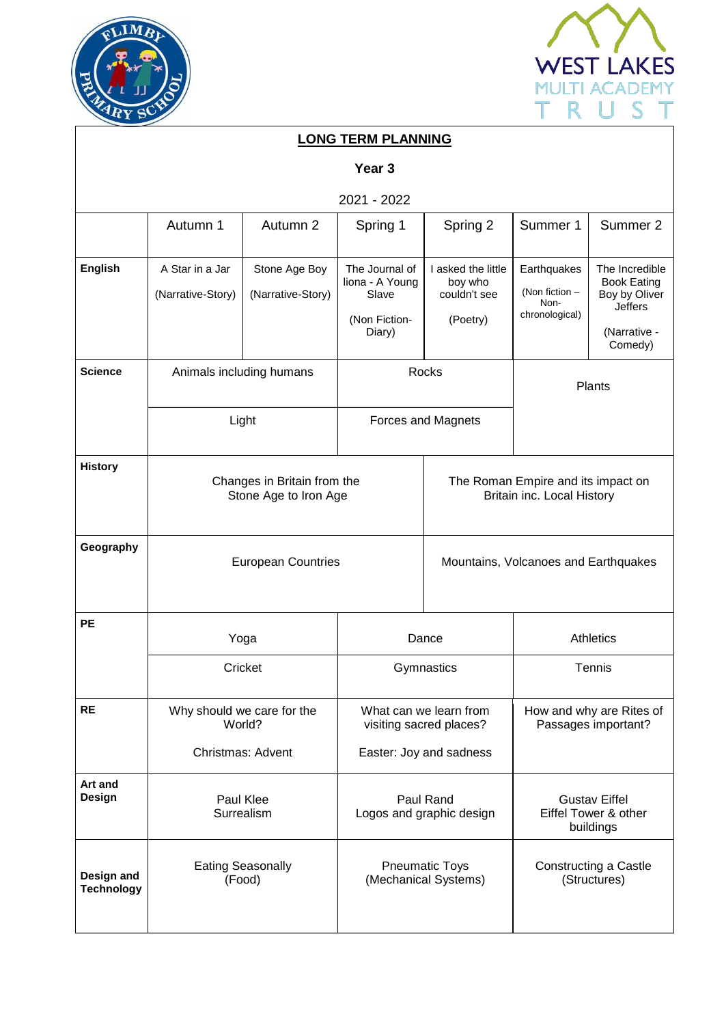



| <b>LONG TERM PLANNING</b>       |                                      |                                                      |                                                                       |                                                           |                                                                  |                                                                                             |  |  |  |  |  |  |
|---------------------------------|--------------------------------------|------------------------------------------------------|-----------------------------------------------------------------------|-----------------------------------------------------------|------------------------------------------------------------------|---------------------------------------------------------------------------------------------|--|--|--|--|--|--|
| Year <sub>3</sub>               |                                      |                                                      |                                                                       |                                                           |                                                                  |                                                                                             |  |  |  |  |  |  |
| 2021 - 2022                     |                                      |                                                      |                                                                       |                                                           |                                                                  |                                                                                             |  |  |  |  |  |  |
|                                 | Autumn 1                             | Autumn 2                                             | Spring 1                                                              | Spring 2                                                  | Summer 1                                                         | Summer 2                                                                                    |  |  |  |  |  |  |
| <b>English</b>                  | A Star in a Jar<br>(Narrative-Story) | Stone Age Boy<br>(Narrative-Story)                   | The Journal of<br>liona - A Young<br>Slave<br>(Non Fiction-<br>Diary) | I asked the little<br>boy who<br>couldn't see<br>(Poetry) | Earthquakes<br>(Non fiction -<br>Non-<br>chronological)          | The Incredible<br><b>Book Eating</b><br>Boy by Oliver<br>Jeffers<br>(Narrative -<br>Comedy) |  |  |  |  |  |  |
| <b>Science</b>                  | Animals including humans             |                                                      | Rocks                                                                 |                                                           | Plants                                                           |                                                                                             |  |  |  |  |  |  |
|                                 | Light                                |                                                      | Forces and Magnets                                                    |                                                           |                                                                  |                                                                                             |  |  |  |  |  |  |
| <b>History</b>                  |                                      | Changes in Britain from the<br>Stone Age to Iron Age |                                                                       |                                                           | The Roman Empire and its impact on<br>Britain inc. Local History |                                                                                             |  |  |  |  |  |  |
| Geography                       |                                      | <b>European Countries</b>                            | Mountains, Volcanoes and Earthquakes                                  |                                                           |                                                                  |                                                                                             |  |  |  |  |  |  |
| <b>PE</b>                       | Yoga                                 |                                                      | Dance                                                                 |                                                           | Athletics                                                        |                                                                                             |  |  |  |  |  |  |
|                                 | Cricket                              |                                                      | Gymnastics                                                            |                                                           | Tennis                                                           |                                                                                             |  |  |  |  |  |  |
| <b>RE</b>                       | Why should we care for the<br>World? |                                                      | What can we learn from<br>visiting sacred places?                     |                                                           | How and why are Rites of<br>Passages important?                  |                                                                                             |  |  |  |  |  |  |
|                                 | Christmas: Advent                    |                                                      | Easter: Joy and sadness                                               |                                                           |                                                                  |                                                                                             |  |  |  |  |  |  |
| Art and<br>Design               | Paul Klee<br>Surrealism              |                                                      | Paul Rand<br>Logos and graphic design                                 |                                                           | <b>Gustav Eiffel</b><br>Eiffel Tower & other<br>buildings        |                                                                                             |  |  |  |  |  |  |
| Design and<br><b>Technology</b> | <b>Eating Seasonally</b><br>(Food)   |                                                      | <b>Pneumatic Toys</b><br>(Mechanical Systems)                         |                                                           | Constructing a Castle<br>(Structures)                            |                                                                                             |  |  |  |  |  |  |